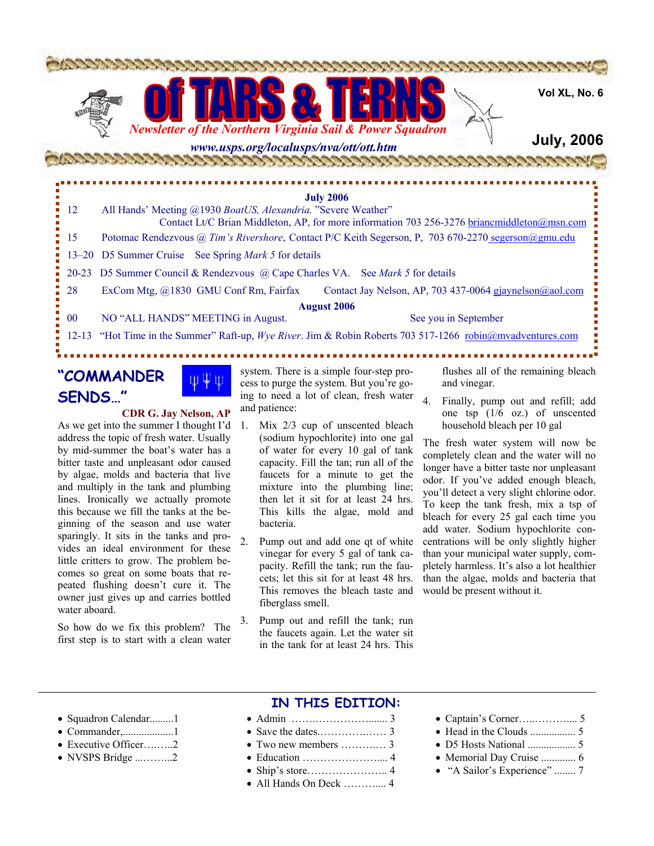

<u> DE EN ENVIRON DE POST</u>

**Vol XL, No. 6**

## **July, 2006**

**July 2006** 12 All Hands' Meeting @1930 *BoatUS, Alexandria.* "Severe Weather" Contact Lt/C Brian Middleton, AP, for more information 703 256-3276 briancmiddleton@msn.com 15 Potomac Rendezvous @ *Tim's Rivershore*, Contact P/C Keith Segerson, P, 703 670-2270 segerson@gmu.edu 13–20 D5 Summer Cruise See Spring *Mark 5* for details 20-23 D5 Summer Council & Rendezvous @ Cape Charles VA. See *Mark 5* for details 28 ExCom Mtg, @1830 GMU Conf Rm, Fairfax Contact Jay Nelson, AP, 703 437-0064 gjaynelson@aol.com **August 2006**  00 NO "ALL HANDS" MEETING in August. See you in September 12-13 "Hot Time in the Summer" Raft-up, *Wye River*. Jim & Robin Roberts 703 517-1266 robin@mvadventures.com -----------

## **"COMMANDER SENDS…"**

### **CDR G. Jay Nelson, AP**

As we get into the summer I thought I'd address the topic of fresh water. Usually by mid-summer the boat's water has a bitter taste and unpleasant odor caused by algae, molds and bacteria that live and multiply in the tank and plumbing lines. Ironically we actually promote this because we fill the tanks at the beginning of the season and use water sparingly. It sits in the tanks and provides an ideal environment for these little critters to grow. The problem becomes so great on some boats that repeated flushing doesn't cure it. The owner just gives up and carries bottled water aboard.

So how do we fix this problem? The first step is to start with a clean water

system. There is a simple four-step process to purge the system. But you're going to need a lot of clean, fresh water and patience:

- 1. Mix 2/3 cup of unscented bleach (sodium hypochlorite) into one gal of water for every 10 gal of tank capacity. Fill the tan; run all of the faucets for a minute to get the mixture into the plumbing line; then let it sit for at least 24 hrs. This kills the algae, mold and bacteria.
- 2. Pump out and add one qt of white vinegar for every 5 gal of tank capacity. Refill the tank; run the faucets; let this sit for at least 48 hrs. This removes the bleach taste and fiberglass smell.
- 3. Pump out and refill the tank; run the faucets again. Let the water sit in the tank for at least 24 hrs. This

flushes all of the remaining bleach and vinegar.

4. Finally, pump out and refill; add one tsp (1/6 oz.) of unscented household bleach per 10 gal

The fresh water system will now be completely clean and the water will no longer have a bitter taste nor unpleasant odor. If you've added enough bleach, you'll detect a very slight chlorine odor. To keep the tank fresh, mix a tsp of bleach for every 25 gal each time you add water. Sodium hypochlorite concentrations will be only slightly higher than your municipal water supply, completely harmless. It's also a lot healthier than the algae, molds and bacteria that would be present without it.

- Squadron Calendar.........1
- Commander,...................1
- Executive Officer….…..2
- NVSPS Bridge ...……...2
- **IN THIS EDITION:**
- Admin …….……………....... 3
- Save the dates 3
- Two new members ……….… 3
- Education ………………….... 4
- Ship's store………………….. 4
- All Hands On Deck ............... 4
- Captain's Corner…..……….... 5
- Head in the Clouds ................. 5
- D5 Hosts National .................. 5
- Memorial Day Cruise ............. 6
- "A Sailor's Experience" ........ 7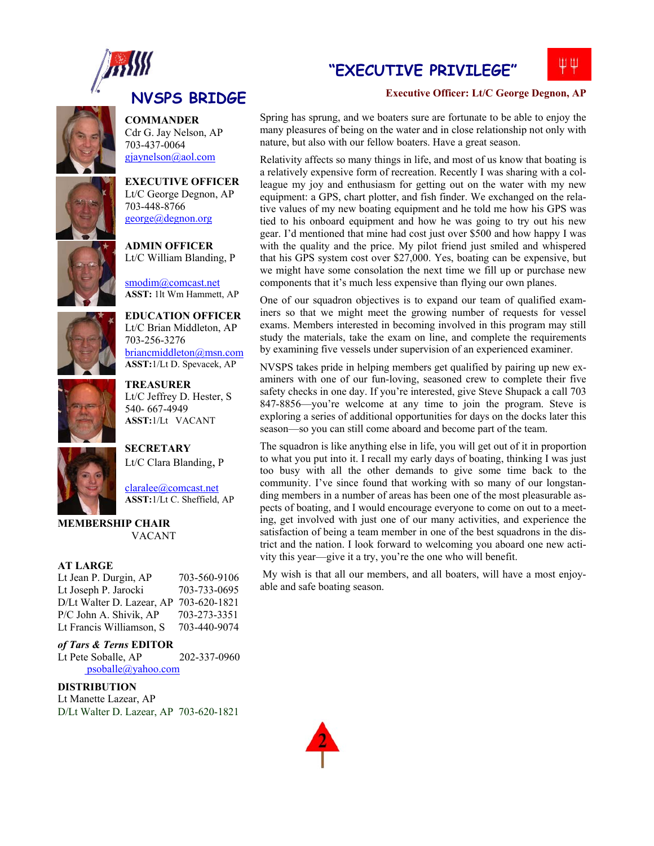

# **NVSPS BRIDGE**

**COMMANDER** 



Cdr G. Jay Nelson, AP 703-437-0064 gjaynelson@aol.com

**EXECUTIVE OFFICER**  Lt/C George Degnon, AP 703-448-8766 george@degnon.org

**ADMIN OFFICER**  Lt/C William Blanding, P

smodim@comcast.net **ASST:** 1lt Wm Hammett, AP

**EDUCATION OFFICER**  Lt/C Brian Middleton, AP

briancmiddleton@msn.com **ASST:**1/Lt D. Spevacek, AP

703-256-3276

**SECRETARY** 



**TREASURER** Lt/C Jeffrey D. Hester, S 540- 667-4949 **ASST:**1/Lt VACANT



claralee@comcast.net **ASST:**1/Lt C. Sheffield, AP

Lt/C Clara Blanding, P

#### **MEMBERSHIP CHAIR**  VACANT

#### **AT LARGE**

Lt Jean P. Durgin, AP 703-560-9106 Lt Joseph P. Jarocki 703-733-0695 D/Lt Walter D. Lazear, AP 703-620-1821 P/C John A. Shivik, AP 703-273-3351 Lt Francis Williamson, S 703-440-9074

### *of Tars & Terns* **EDITOR**

Lt Pete Soballe, AP 202-337-0960 psoballe@yahoo.com

### **DISTRIBUTION**

Lt Manette Lazear, AP D/Lt Walter D. Lazear, AP 703-620-1821

## **"EXECUTIVE PRIVILEGE"**



### **Executive Officer: Lt/C George Degnon, AP**

Spring has sprung, and we boaters sure are fortunate to be able to enjoy the many pleasures of being on the water and in close relationship not only with nature, but also with our fellow boaters. Have a great season.

Relativity affects so many things in life, and most of us know that boating is a relatively expensive form of recreation. Recently I was sharing with a colleague my joy and enthusiasm for getting out on the water with my new equipment: a GPS, chart plotter, and fish finder. We exchanged on the relative values of my new boating equipment and he told me how his GPS was tied to his onboard equipment and how he was going to try out his new gear. I'd mentioned that mine had cost just over \$500 and how happy I was with the quality and the price. My pilot friend just smiled and whispered that his GPS system cost over \$27,000. Yes, boating can be expensive, but we might have some consolation the next time we fill up or purchase new components that it's much less expensive than flying our own planes.

One of our squadron objectives is to expand our team of qualified examiners so that we might meet the growing number of requests for vessel exams. Members interested in becoming involved in this program may still study the materials, take the exam on line, and complete the requirements by examining five vessels under supervision of an experienced examiner.

NVSPS takes pride in helping members get qualified by pairing up new examiners with one of our fun-loving, seasoned crew to complete their five safety checks in one day. If you're interested, give Steve Shupack a call 703 847-8856—you're welcome at any time to join the program. Steve is exploring a series of additional opportunities for days on the docks later this season—so you can still come aboard and become part of the team.

The squadron is like anything else in life, you will get out of it in proportion to what you put into it. I recall my early days of boating, thinking I was just too busy with all the other demands to give some time back to the community. I've since found that working with so many of our longstanding members in a number of areas has been one of the most pleasurable aspects of boating, and I would encourage everyone to come on out to a meeting, get involved with just one of our many activities, and experience the satisfaction of being a team member in one of the best squadrons in the district and the nation. I look forward to welcoming you aboard one new activity this year—give it a try, you're the one who will benefit.

 My wish is that all our members, and all boaters, will have a most enjoyable and safe boating season.

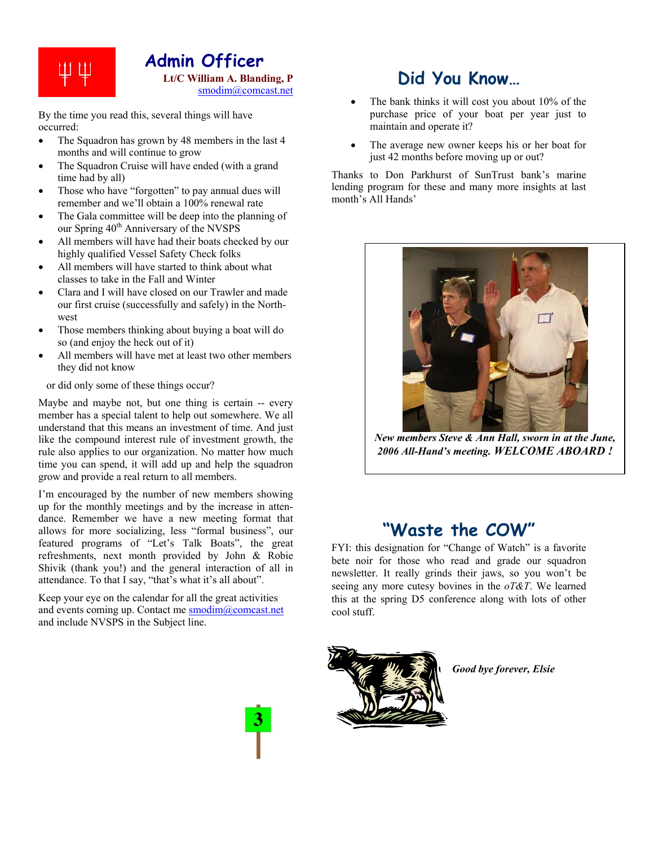

By the time you read this, several things will have occurred:

- The Squadron has grown by 48 members in the last 4 months and will continue to grow
- The Squadron Cruise will have ended (with a grand time had by all)
- Those who have "forgotten" to pay annual dues will remember and we'll obtain a 100% renewal rate
- The Gala committee will be deep into the planning of our Spring  $40^{th}$  Anniversary of the NVSPS
- All members will have had their boats checked by our highly qualified Vessel Safety Check folks
- All members will have started to think about what classes to take in the Fall and Winter
- Clara and I will have closed on our Trawler and made our first cruise (successfully and safely) in the Northwest
- Those members thinking about buying a boat will do so (and enjoy the heck out of it)
- All members will have met at least two other members they did not know

or did only some of these things occur?

Maybe and maybe not, but one thing is certain -- every member has a special talent to help out somewhere. We all understand that this means an investment of time. And just like the compound interest rule of investment growth, the rule also applies to our organization. No matter how much time you can spend, it will add up and help the squadron grow and provide a real return to all members.

I'm encouraged by the number of new members showing up for the monthly meetings and by the increase in attendance. Remember we have a new meeting format that allows for more socializing, less "formal business", our featured programs of "Let's Talk Boats", the great refreshments, next month provided by John & Robie Shivik (thank you!) and the general interaction of all in attendance. To that I say, "that's what it's all about".

Keep your eye on the calendar for all the great activities and events coming up. Contact me smodim@comcast.net and include NVSPS in the Subject line.

# **Did You Know…**

- The bank thinks it will cost you about 10% of the purchase price of your boat per year just to maintain and operate it?
- The average new owner keeps his or her boat for just 42 months before moving up or out?

Thanks to Don Parkhurst of SunTrust bank's marine lending program for these and many more insights at last month's All Hands'



*New members Steve & Ann Hall, sworn in at the June, 2006 All-Hand's meeting. WELCOME ABOARD !*

# **"Waste the COW"**

FYI: this designation for "Change of Watch" is a favorite bete noir for those who read and grade our squadron newsletter. It really grinds their jaws, so you won't be seeing any more cutesy bovines in the *oT&T*. We learned this at the spring D5 conference along with lots of other cool stuff.



*Good bye forever, Elsie* 

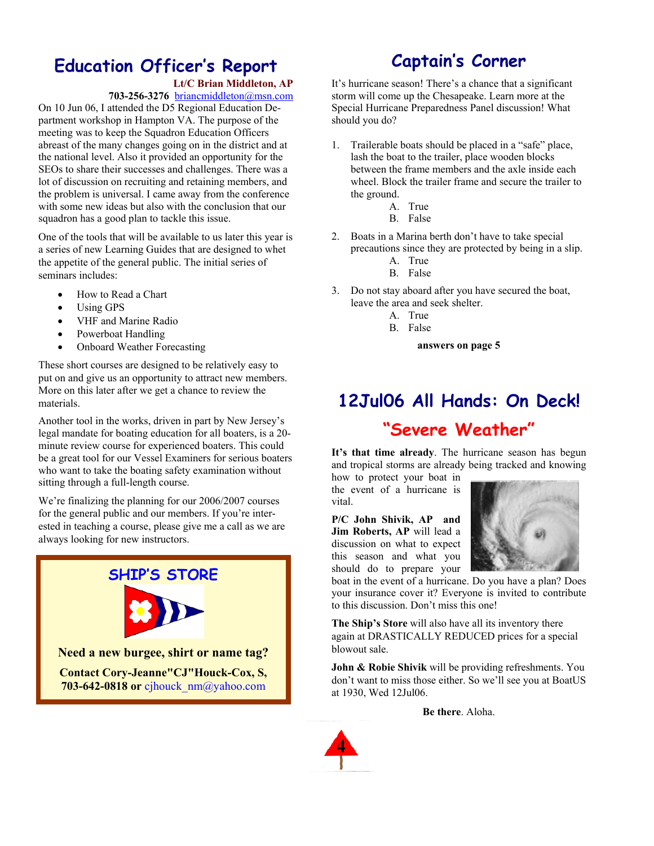# **Education Officer's Report**

### **Lt/C Brian Middleton, AP**

**703-256-3276** briancmiddleton@msn.com

On 10 Jun 06, I attended the D5 Regional Education Department workshop in Hampton VA. The purpose of the meeting was to keep the Squadron Education Officers abreast of the many changes going on in the district and at the national level. Also it provided an opportunity for the SEOs to share their successes and challenges. There was a lot of discussion on recruiting and retaining members, and the problem is universal. I came away from the conference with some new ideas but also with the conclusion that our squadron has a good plan to tackle this issue.

One of the tools that will be available to us later this year is a series of new Learning Guides that are designed to whet the appetite of the general public. The initial series of seminars includes:

- How to Read a Chart
- Using GPS
- VHF and Marine Radio
- Powerboat Handling
- Onboard Weather Forecasting

These short courses are designed to be relatively easy to put on and give us an opportunity to attract new members. More on this later after we get a chance to review the materials.

Another tool in the works, driven in part by New Jersey's legal mandate for boating education for all boaters, is a 20 minute review course for experienced boaters. This could be a great tool for our Vessel Examiners for serious boaters who want to take the boating safety examination without sitting through a full-length course.

We're finalizing the planning for our 2006/2007 courses for the general public and our members. If you're interested in teaching a course, please give me a call as we are always looking for new instructors.



**703-642-0818 or** cjhouck\_nm@yahoo.com

# **Captain's Corner**

It's hurricane season! There's a chance that a significant storm will come up the Chesapeake. Learn more at the Special Hurricane Preparedness Panel discussion! What should you do?

- 1. Trailerable boats should be placed in a "safe" place, lash the boat to the trailer, place wooden blocks between the frame members and the axle inside each wheel. Block the trailer frame and secure the trailer to the ground.
	- A. True
		- B. False
- 2. Boats in a Marina berth don't have to take special precautions since they are protected by being in a slip.
	- A. True
	- B. False
- 3. Do not stay aboard after you have secured the boat, leave the area and seek shelter.
	- A. True
	- B. False

**answers on page 5** 

# **12Jul06 All Hands: On Deck! "Severe Weather"**

**It's that time already**. The hurricane season has begun and tropical storms are already being tracked and knowing

how to protect your boat in the event of a hurricane is vital.

**P/C John Shivik, AP and Jim Roberts, AP** will lead a discussion on what to expect this season and what you should do to prepare your



boat in the event of a hurricane. Do you have a plan? Does your insurance cover it? Everyone is invited to contribute to this discussion. Don't miss this one!

**The Ship's Store** will also have all its inventory there again at DRASTICALLY REDUCED prices for a special blowout sale.

**John & Robie Shivik** will be providing refreshments. You don't want to miss those either. So we'll see you at BoatUS at 1930, Wed 12Jul06.

**Be there**. Aloha.

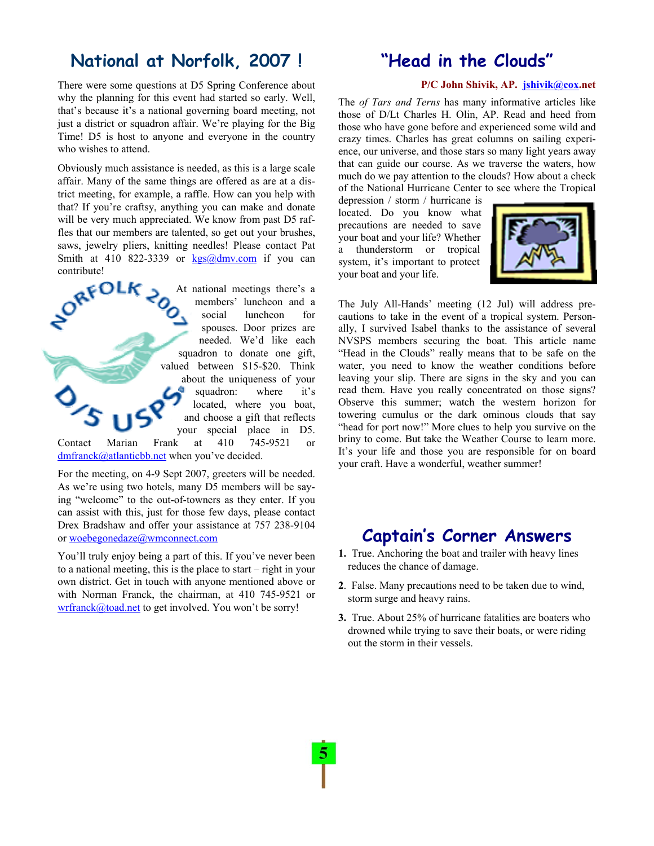# **National at Norfolk, 2007 !**

There were some questions at D5 Spring Conference about why the planning for this event had started so early. Well, that's because it's a national governing board meeting, not just a district or squadron affair. We're playing for the Big Time! D5 is host to anyone and everyone in the country who wishes to attend.

Obviously much assistance is needed, as this is a large scale affair. Many of the same things are offered as are at a district meeting, for example, a raffle. How can you help with that? If you're craftsy, anything you can make and donate will be very much appreciated. We know from past D5 raffles that our members are talented, so get out your brushes, saws, jewelry pliers, knitting needles! Please contact Pat Smith at 410 822-3339 or  $kgs@dmv.com$  if you can contribute!



For the meeting, on 4-9 Sept 2007, greeters will be needed. As we're using two hotels, many D5 members will be saying "welcome" to the out-of-towners as they enter. If you can assist with this, just for those few days, please contact Drex Bradshaw and offer your assistance at 757 238-9104 or woebegonedaze@wmconnect.com

You'll truly enjoy being a part of this. If you've never been to a national meeting, this is the place to start – right in your own district. Get in touch with anyone mentioned above or with Norman Franck, the chairman, at 410 745-9521 or wrfranck@toad.net to get involved. You won't be sorry!

# **"Head in the Clouds"**

#### **P/C John Shivik, AP. jshivik@cox.net**

The *of Tars and Terns* has many informative articles like those of D/Lt Charles H. Olin, AP. Read and heed from those who have gone before and experienced some wild and crazy times. Charles has great columns on sailing experience, our universe, and those stars so many light years away that can guide our course. As we traverse the waters, how much do we pay attention to the clouds? How about a check of the National Hurricane Center to see where the Tropical

depression / storm / hurricane is located. Do you know what precautions are needed to save your boat and your life? Whether a thunderstorm or tropical system, it's important to protect your boat and your life.



The July All-Hands' meeting (12 Jul) will address precautions to take in the event of a tropical system. Personally, I survived Isabel thanks to the assistance of several NVSPS members securing the boat. This article name "Head in the Clouds" really means that to be safe on the water, you need to know the weather conditions before leaving your slip. There are signs in the sky and you can read them. Have you really concentrated on those signs? Observe this summer; watch the western horizon for towering cumulus or the dark ominous clouds that say "head for port now!" More clues to help you survive on the briny to come. But take the Weather Course to learn more. It's your life and those you are responsible for on board your craft. Have a wonderful, weather summer!

## **Captain's Corner Answers**

- **1.** True. Anchoring the boat and trailer with heavy lines reduces the chance of damage.
- **2**. False. Many precautions need to be taken due to wind, storm surge and heavy rains.
- **3.** True. About 25% of hurricane fatalities are boaters who drowned while trying to save their boats, or were riding out the storm in their vessels.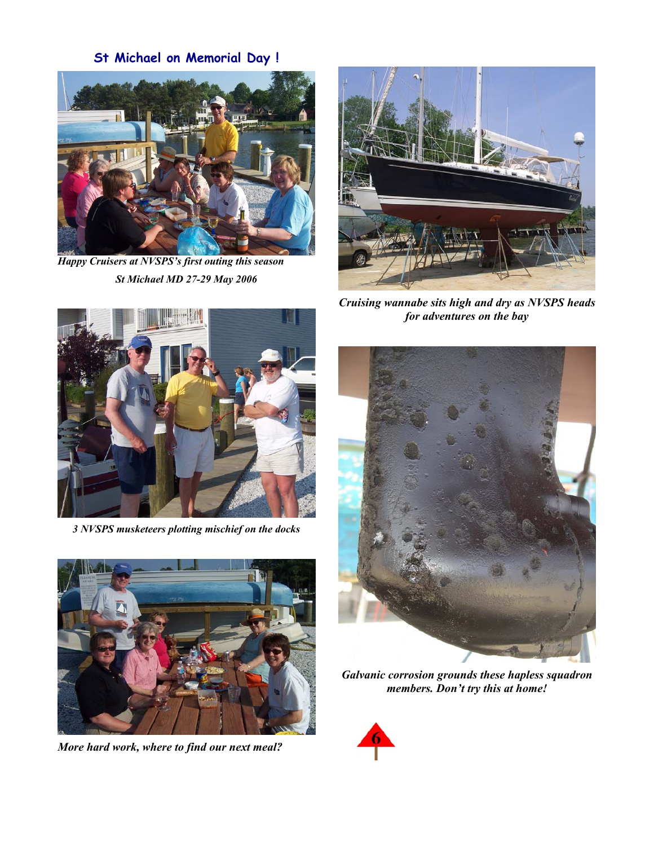**St Michael on Memorial Day !** 



*Happy Cruisers at NVSPS's first outing this season St Michael MD 27-29 May 2006*



*Cruising wannabe sits high and dry as NVSPS heads for adventures on the bay* 



*3 NVSPS musketeers plotting mischief on the docks* 



*More hard work, where to find our next meal?* 



*Galvanic corrosion grounds these hapless squadron members. Don't try this at home!* 

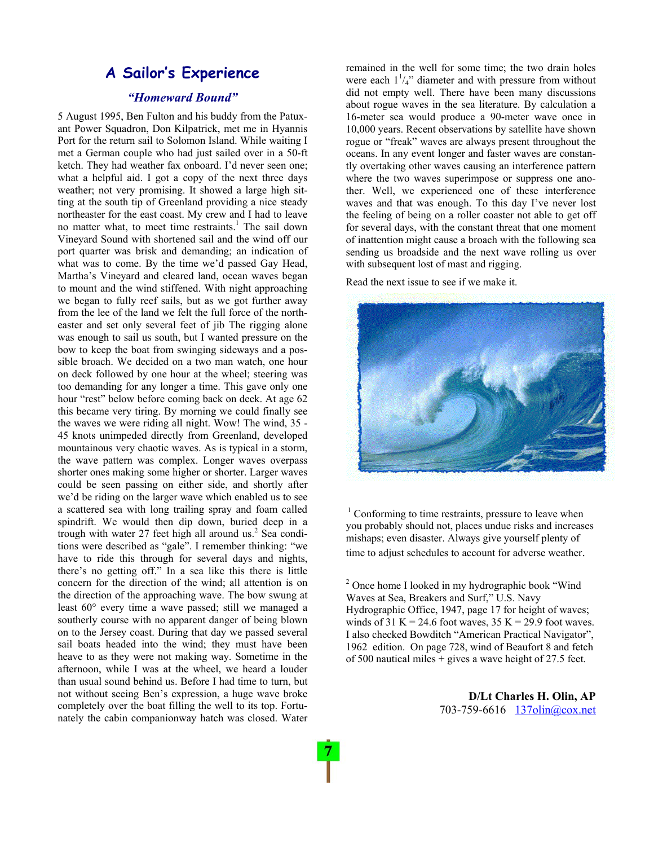## **A Sailor's Experience**

### *"Homeward Bound"*

5 August 1995, Ben Fulton and his buddy from the Patuxant Power Squadron, Don Kilpatrick, met me in Hyannis Port for the return sail to Solomon Island. While waiting I met a German couple who had just sailed over in a 50-ft ketch. They had weather fax onboard. I'd never seen one; what a helpful aid. I got a copy of the next three days weather; not very promising. It showed a large high sitting at the south tip of Greenland providing a nice steady northeaster for the east coast. My crew and I had to leave no matter what, to meet time restraints.<sup>1</sup> The sail down Vineyard Sound with shortened sail and the wind off our port quarter was brisk and demanding; an indication of what was to come. By the time we'd passed Gay Head, Martha's Vineyard and cleared land, ocean waves began to mount and the wind stiffened. With night approaching we began to fully reef sails, but as we got further away from the lee of the land we felt the full force of the northeaster and set only several feet of jib The rigging alone was enough to sail us south, but I wanted pressure on the bow to keep the boat from swinging sideways and a possible broach. We decided on a two man watch, one hour on deck followed by one hour at the wheel; steering was too demanding for any longer a time. This gave only one hour "rest" below before coming back on deck. At age 62 this became very tiring. By morning we could finally see the waves we were riding all night. Wow! The wind, 35 - 45 knots unimpeded directly from Greenland, developed mountainous very chaotic waves. As is typical in a storm, the wave pattern was complex. Longer waves overpass shorter ones making some higher or shorter. Larger waves could be seen passing on either side, and shortly after we'd be riding on the larger wave which enabled us to see a scattered sea with long trailing spray and foam called spindrift. We would then dip down, buried deep in a trough with water 27 feet high all around us.<sup>2</sup> Sea conditions were described as "gale". I remember thinking: "we have to ride this through for several days and nights, there's no getting off." In a sea like this there is little concern for the direction of the wind; all attention is on the direction of the approaching wave. The bow swung at least 60° every time a wave passed; still we managed a southerly course with no apparent danger of being blown on to the Jersey coast. During that day we passed several sail boats headed into the wind; they must have been heave to as they were not making way. Sometime in the afternoon, while I was at the wheel, we heard a louder than usual sound behind us. Before I had time to turn, but not without seeing Ben's expression, a huge wave broke completely over the boat filling the well to its top. Fortunately the cabin companionway hatch was closed. Water

remained in the well for some time; the two drain holes were each  $1\frac{1}{4}$  diameter and with pressure from without did not empty well. There have been many discussions about rogue waves in the sea literature. By calculation a 16-meter sea would produce a 90-meter wave once in 10,000 years. Recent observations by satellite have shown rogue or "freak" waves are always present throughout the oceans. In any event longer and faster waves are constantly overtaking other waves causing an interference pattern where the two waves superimpose or suppress one another. Well, we experienced one of these interference waves and that was enough. To this day I've never lost the feeling of being on a roller coaster not able to get off for several days, with the constant threat that one moment of inattention might cause a broach with the following sea sending us broadside and the next wave rolling us over with subsequent lost of mast and rigging.

Read the next issue to see if we make it.



 $1$  Conforming to time restraints, pressure to leave when you probably should not, places undue risks and increases mishaps; even disaster. Always give yourself plenty of time to adjust schedules to account for adverse weather.

<sup>2</sup> Once home I looked in my hydrographic book "Wind Waves at Sea, Breakers and Surf," U.S. Navy Hydrographic Office, 1947, page 17 for height of waves; winds of 31 K = 24.6 foot waves,  $35$  K = 29.9 foot waves. I also checked Bowditch "American Practical Navigator", 1962 edition. On page 728, wind of Beaufort 8 and fetch of 500 nautical miles + gives a wave height of 27.5 feet.

> **D/Lt Charles H. Olin, AP**  703-759-6616 137olin@cox.net